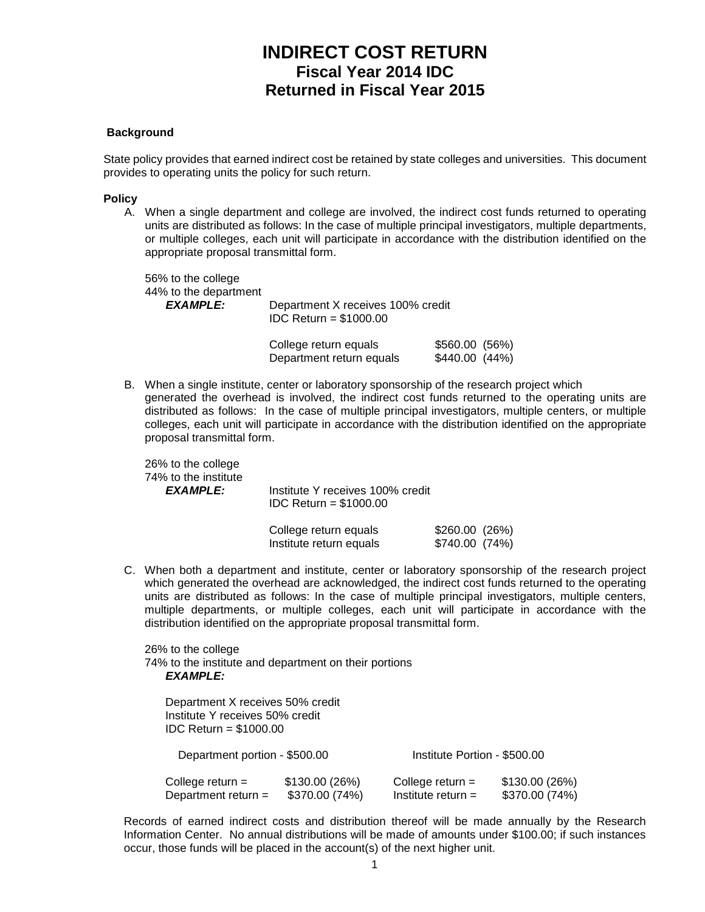# **INDIRECT COST RETURN Fiscal Year 2014 IDC Returned in Fiscal Year 2015**

#### **Background**

State policy provides that earned indirect cost be retained by state colleges and universities. This document provides to operating units the policy for such return.

#### **Policy**

A. When a single department and college are involved, the indirect cost funds returned to operating units are distributed as follows: In the case of multiple principal investigators, multiple departments, or multiple colleges, each unit will participate in accordance with the distribution identified on the appropriate proposal transmittal form.

56% to the college 44% to the department<br>EXAMPLE: Department X receives 100% credit IDC Return = \$1000.00

| College return equals    | \$560.00 (56%) |
|--------------------------|----------------|
| Department return equals | \$440.00 (44%) |

B. When a single institute, center or laboratory sponsorship of the research project which generated the overhead is involved, the indirect cost funds returned to the operating units are distributed as follows: In the case of multiple principal investigators, multiple centers, or multiple colleges, each unit will participate in accordance with the distribution identified on the appropriate proposal transmittal form.

26% to the college 74% to the institute

*EXAMPLE:* Institute Y receives 100% credit IDC Return = \$1000.00

| College return equals   | \$260.00(26%)  |  |
|-------------------------|----------------|--|
| Institute return equals | \$740.00 (74%) |  |

C. When both a department and institute, center or laboratory sponsorship of the research project which generated the overhead are acknowledged, the indirect cost funds returned to the operating units are distributed as follows: In the case of multiple principal investigators, multiple centers, multiple departments, or multiple colleges, each unit will participate in accordance with the distribution identified on the appropriate proposal transmittal form.

26% to the college 74% to the institute and department on their portions *EXAMPLE:*

Department X receives 50% credit Institute Y receives 50% credit IDC Return = \$1000.00 Department portion - \$500.00 Institute Portion - \$500.00 College return =  $$130.00 (26%)$  College return =  $$130.00 (26%)$ <br>Department return =  $$370.00 (74%)$  Institute return = \$370.00 (74%) Department return =  $$370.00 (74%)$ 

Records of earned indirect costs and distribution thereof will be made annually by the Research Information Center. No annual distributions will be made of amounts under \$100.00; if such instances occur, those funds will be placed in the account(s) of the next higher unit.